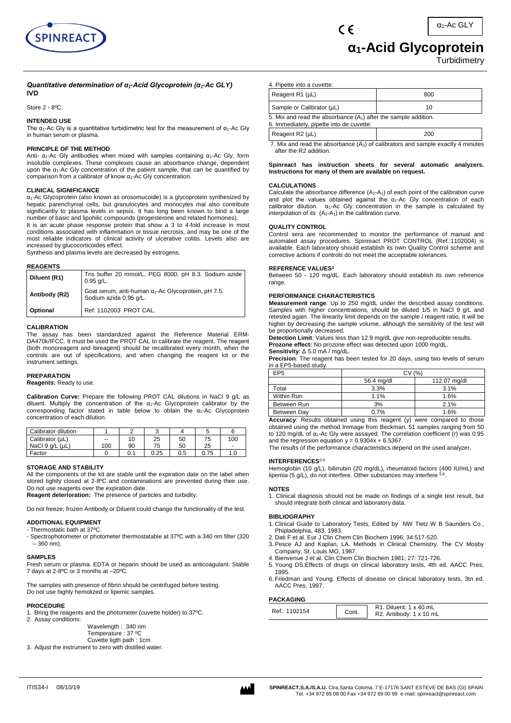

# **α1-Acid Glycoprotein**

**Turbidimetry** 

#### *Quantitative determination of α1-Acid Glycoprotein (α1-Ac GLY)* **IVD**

Store 2 - 8ºC.

# **INTENDED USE**

The  $\alpha_1$ -Ac Gly is a quantitative turbidimetric test for the measurement of  $\alpha_1$ -Ac Gly in human serum or plasma.

### **PRINCIPLE OF THE METHOD**

Anti-  $\alpha_1$ -Ac Gly antibodies when mixed with samples containing  $\alpha_1$ -Ac Gly, form insoluble complexes. These complexes cause an absorbance change, dependent upon the  $\alpha_1$ -Ac Gly concentration of the patient sample, that can be quantified by comparison from a calibrator of know  $\alpha_1$ -Ac Gly concentration.

#### **CLINICAL SIGNIFICANCE**

α1-Ac Glycoprotein (also known as orosomucoide) is a glycoprotein synthesized by hepatic parenchymal cells, but granulocytes and monocytes mal also contribute significantly to plasma levels in sepsis. It has long been known to bind a large number of basic and lipohilic compounds (progesterone and related hormones).

It is an acute phase response protein that show a 3 to 4-fold increase in most conditions associated with inflammation or tissue necrosis, and may be one of the most reliable indicators of clinical activity of ulcerative colitis. Levels also are increased by glucocorticoides effect.

Synthesis and plasma levels are decreased by estrogens.

#### **REAGENTS**

| Diluent (R1)  | Tris buffer 20 mmol/L, PEG 8000, pH 8.3. Sodium azide<br>$0.95$ g/L.                  |
|---------------|---------------------------------------------------------------------------------------|
| Antibody (R2) | Goat serum, anti-human $\alpha_1$ -Ac Glycoprotein, pH 7.5.<br>Sodium azida 0.95 g/L. |
| Optional      | Ref: 1102003 PROT CAL.                                                                |

#### **CALIBRATION**

The assay has been standardized against the Reference Material ERM-DA470k/IFCC. It must be used the PROT CAL to calibrate the reagent. The reagent (both monoreagent and bireagent) should be recalibrated every month, when the controls are out of specifications, and when changing the reagent lot or the instrument settings.

# **PREPARATION**

**Reagents:** Ready to use.

**Calibration Curve:** Prepare the following PROT CAL dilutions in NaCl 9 g/L as diluent. Multiply the concentration of the  $\alpha_1$ -Ac Glycoprotein calibrator by the corresponding factor stated in table below to obtain the  $\alpha_1$ -Ac Glycoprotein concentration of each dilution.

| Calibrator dilution     |                          |     |      |     |      |                          |
|-------------------------|--------------------------|-----|------|-----|------|--------------------------|
| Calibrator (µL)         | $\overline{\phantom{a}}$ | 10  | 25   | 50  | 75   | 100                      |
| NaCl $9$ q/L ( $\mu$ L) | 100                      | 90  | 75   | 50  | 25   | $\overline{\phantom{a}}$ |
| Factor                  |                          | 0.1 | 0.25 | 0.5 | 0.75 | 1.0                      |

## **STORAGE AND STABILITY**

All the components of the kit are stable until the expiration date on the label when stored tightly closed at 2-8°C and contaminations are prevented during their use. Do not use reagents over the expiration date. **Reagent deterioration:** The presence of particles and turbidity.

Do not freeze; frozen Antibody or Diluent could change the functionality of the test.

# **ADDITIONAL EQUIPMENT**

- Thermostatic bath at 37ºC.
- Spectrophotometer or photometer thermostatable at 37ºC with a 340 nm filter (320 – 360 nm).

#### **SAMPLES**

Fresh serum or plasma. EDTA or heparin should be used as anticoagulant. Stable 7 days at 2-8ºC or 3 months at –20ºC.

The samples with presence of fibrin should be centrifuged before testing. Do not use highly hemolized or lipemic samples.

# **PROCEDURE**

1. Bring the reagents and the photometer (cuvette holder) to 37ºC. 2. Assay conditions:

Wavelength : 340 nm Temperature : 37 ºC Cuvette ligth path : 1cm

3. Adjust the instrument to zero with distilled water.

4. Pipette into a cuvette:

| Reagent R1 (µL)                                                                                               | 800 |  |
|---------------------------------------------------------------------------------------------------------------|-----|--|
| Sample or Calibrator (µL)                                                                                     | 10  |  |
| 5. Mix and read the absorbance $(A_1)$ after the sample addition.<br>6. Immediately, pipette into de cuvette: |     |  |
| Reagent R2 (µL)                                                                                               | 200 |  |

7. Mix and read the absorbance  $(A<sub>2</sub>)$  of calibrators and sample exactly 4 minutes after the R2 addition.

#### **Spinreact has instruction sheets for several automatic analyzers. Instructions for many of them are available on request.**

# **CALCULATIONS**

Calculate the absorbance difference  $(A_2-A_1)$  of each point of the calibration curve and plot the values obtained against the  $\alpha_1$ -Ac Gly concentration of each calibrator dilution.  $\alpha_1$ -Ac Gly concentration in the sample is calculated by interpolation of its  $(A_2-A_1)$  in the calibration curve.

#### **QUALITY CONTROL**

Control sera are recommended to monitor the performance of manual and automated assay procedures. Spinreact PROT CONTROL (Ref.:1102004) is available. Each laboratory should establish its own Quality Control scheme and corrective actions if controls do not meet the acceptable tolerances.

#### **REFERENCE VALUES<sup>2</sup>**

Between 50 - 120 mg/dL. Each laboratory should establish its own reference range

# **PERFORMANCE CHARACTERISTICS**

**Measurement range***:* Up to 250 mg/dL under the described assay conditions. Samples with higher concentrations, should be diluted 1/5 in NaCl 9 g/L and retested again. The linearity limit depends on the sample / reagent ratio. It will be higher by decreasing the sample volume, although the sensitivity of the test will be proportionally decreased.

**Detection Limit***:* Values less than 12.9 mg/dL give non-reproducible results. **Prozone effect:** No prozone effect was detected upon 1000 mg/dL. **Sensitivity***:* Δ 5.0 mA / mg/dL.

**Precision***:* The reagent has been tested for 20 days, using two levels of serum in a EP5-based study.

| EP <sub>5</sub> | (% )<br>CV   |              |  |
|-----------------|--------------|--------------|--|
|                 | 56.4 mg/dl   | 112.07 mg/dl |  |
| Total           | 3.3%         | 3.1%         |  |
| Within Run      | 1.1%         | 1.6%         |  |
| Between Run     | 3%           | 2.1%         |  |
| Between Day     | 0.7%<br>1.6% |              |  |

**Accuracy***:* Results obtained using this reagent (y) were compared to those obtained using the method Immage from Beckman. 51 samples ranging from 50 to 120 mg/dL of  $α_1$ -Ac Gly were assayed. The correlation coefficient (r) was 0.95 and the regression equation  $y = 0.9304x + 6.5367$ .

The results of the performance characteristics depend on the used analyzer.

#### **INTERFERENCES**5-6

Hemoglobin (10 g/L), bilirrubin (20 mg/dL), rheumatoid factors (400 IU/mL) and lipemia (5 g/L), do not interfere. Other substances may interfere .

#### **NOTES**

1. Clinical diagnosis should not be made on findings of a single test result, but should integrate both clinical and laboratory data.

#### **BIBLIOGRAPHY**

- 1. Clinical Guide to Laboratory Tests, Edited by NW Tietz W B Saunders Co., Phipladelphia, 483, 1983.
- 2. Dati F et al. Eur J Clin Chem Clin Biochem 1996; 34:517-520.
- 3. Pesce AJ and Kaplan, LA. Methods in Clinical Chemistry. The CV Mosby Company, St. Louis MO, 1987.
- 4. Bienvenue J et al. Clin Chem Clin Biochem 1981; 27: 721-726.
- 5. Young DS.Effects of drugs on clinical laboratory tests, 4th ed. AACC Pres, 1995.
- 6. Friedman and Young. Effects of disease on clinical laboratory tests, 3tn ed. AACC Pres, 1997.

# **PACKAGING**

| Ref.: 1102154 | Cont. | R <sub>1</sub> . Diluent: 1 x 40 mL<br>R2. Antibody: 1 x 10 mL |
|---------------|-------|----------------------------------------------------------------|
|---------------|-------|----------------------------------------------------------------|

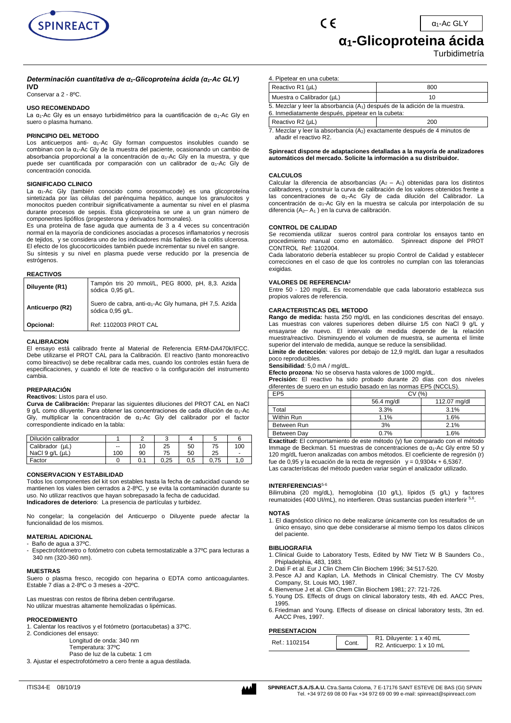

# **α1-Glicoproteina ácida**

Turbidimetría

# *Determinación cuantitativa de α1-Glicoproteina ácida (α1-Ac GLY)* **IVD**

Conservar a 2 - 8ºC.

# **USO RECOMENDADO**

La α<sub>1</sub>-Ac Gly es un ensayo turbidimétrico para la cuantificación de α<sub>1</sub>-Ac Gly en suero o plasma humano.

# **PRINCIPIO DEL METODO**

Los anticuerpos anti- α1-Ac Gly forman compuestos insolubles cuando se combinan con la α<sub>1</sub>-Ac Gly de la muestra del paciente, ocasionando un cambio de absorbancia proporcional a la concentración de α1-Ac Gly en la muestra, y que puede ser cuantificada por comparación con un calibrador de α1-Ac Gly de concentración conocida.

#### **SIGNIFICADO CLINICO**

La  $\alpha_1$ -Ac Gly (también conocido como orosomucode) es una glicoproteína sintetizada por las células del parénquima hepático, aunque los granulocitos y monocitos pueden contribuir significativamente a aumentar su nivel en el plasma durante procesos de sepsis. Esta glicoproteína se une a un gran número de componentes lipófilos (progesterona y derivados hormonales).

Es una proteína de fase aguda que aumenta de 3 a 4 veces su concentración normal en la mayoría de condiciones asociadas a procesos inflamatorios y necrosis de tejidos, y se considera uno de los indicadores más fiables de la colitis ulcerosa. El efecto de los glucocorticoides también puede incrementar su nivel en sangre. Su síntesis y su nivel en plasma puede verse reducido por la presencia de

estrógenos.

#### **REACTIVOS**

| Diluyente (R1)  | Tampón tris 20 mmol/L, PEG 8000, pH, 8,3. Azida<br>sódica 0,95 q/L.                   |
|-----------------|---------------------------------------------------------------------------------------|
| Anticuerpo (R2) | Suero de cabra, anti-α <sub>1</sub> -Ac Gly humana, pH 7,5. Azida<br>sódica 0,95 g/L. |
| Opcional:       | Ref: 1102003 PROT CAL                                                                 |

# **CALIBRACION**

El ensayo está calibrado frente al Material de Referencia ERM-DA470k/IFCC. Debe utilizarse el PROT CAL para la Calibración. El reactivo (tanto monoreactivo como bireactivo) se debe recalibrar cada mes, cuando los controles están fuera de especificaciones, y cuando el lote de reactivo o la configuración del instrumento cambia.

# **PREPARACIÓN**

#### **Reactivos:** Listos para el uso.

**Curva de Calibración:** Preparar las siguientes diluciones del PROT CAL en NaCl 9 g/L como diluyente. Para obtener las concentraciones de cada dilución de α1-Ac Gly, multiplicar la concentración de α1-Ac Gly del calibrador por el factor correspondiente indicado en la tabla:

| Dilución calibrador |     |     |      |     |      |                          |
|---------------------|-----|-----|------|-----|------|--------------------------|
| Calibrador (µL)     | --  | 10  | 25   | 50  | 75   | 100                      |
| NaCl 9 g/L (µL)     | 100 | 90  | 75   | 50  | 25   | $\overline{\phantom{a}}$ |
| Factor              |     | 0.1 | 0.25 | 0.5 | 0.75 | 1.0                      |

# **CONSERVACION Y ESTABILIDAD**

Todos los componentes del kit son estables hasta la fecha de caducidad cuando se mantienen los viales bien cerrados a 2-8ºC, y se evita la contaminación durante su uso. No utilizar reactivos que hayan sobrepasado la fecha de caducidad. **Indicadores de deterioro**: La presencia de partículas y turbidez.

No congelar; la congelación del Anticuerpo o Diluyente puede afectar la funcionalidad de los mismos.

# **MATERIAL ADICIONAL**

- Baño de agua a 37ºC.

Espectrofotómetro o fotómetro con cubeta termostatizable a 37°C para lecturas a 340 nm (320-360 nm).

# **MUESTRAS**

Suero o plasma fresco, recogido con heparina o EDTA como anticoagulantes. Estable 7 días a 2-8ºC o 3 meses a -20ºC.

Las muestras con restos de fibrina deben centrifugarse. No utilizar muestras altamente hemolizadas o lipémicas.

# **PROCEDIMIENTO**

1. Calentar los reactivos y el fotómetro (portacubetas) a 37ºC.

2. Condiciones del ensayo:

Longitud de onda: 340 nm

Temperatura: 37ºC Paso de luz de la cubeta: 1 cm

3. Ajustar el espectrofotómetro a cero frente a agua destilada.

| SPINREACT, S.A./S.A.U. Ctra.Santa Coloma, 7 E-17176 SANT ESTEVE DE BAS (GI) SPAIN<br>Tel. +34 972 69 08 00 Fax +34 972 69 00 99 e-mail: spinreact@spinreact.com |
|-----------------------------------------------------------------------------------------------------------------------------------------------------------------|
|                                                                                                                                                                 |

| 4. Pipetear en una cubeta:                                                                                                                   |     |  |  |
|----------------------------------------------------------------------------------------------------------------------------------------------|-----|--|--|
| Reactivo R1 (µL)                                                                                                                             | 800 |  |  |
| Muestra o Calibrador (µL)                                                                                                                    | 10  |  |  |
| 5. Mezclar y leer la absorbancia (A <sub>1</sub> ) después de la adición de la muestra.<br>6. Inmediatamente después, pipetear en la cubeta: |     |  |  |
| Reactivo R2 (µL)<br>200                                                                                                                      |     |  |  |
| 7. Mezclar y leer la absorbancia (A <sub>2</sub> ) exactamente después de 4 minutos de                                                       |     |  |  |

 $\epsilon$ 

7. Mezclar y leer la absorbancia (A2) exactamente después de 4 minutos de añadir el reactivo R2.

**Spinreact dispone de adaptaciones detalladas a la mayoría de analizadores automáticos del mercado. Solicite la información a su distribuidor.**

#### **CALCULOS**

Calcular la diferencia de absorbancias  $(A_2 - A_1)$  obtenidas para los distintos calibradores, y construir la curva de calibración de los valores obtenidos frente a las concentraciones de α1-Ac Gly de cada dilución del Calibrador. La concentración de α1-Ac Gly en la muestra se calcula por interpolación de su diferencia ( $A_2 - A_1$ ) en la curva de calibración.

# **CONTROL DE CALIDAD**

Se recomienda utilizar sueros control para controlar los ensayos tanto en procedimiento manual como en automático. Spinreact dispone del PROT CONTROL Ref: 1102004.

Cada laboratorio debería establecer su propio Control de Calidad y establecer correcciones en el caso de que los controles no cumplan con las tolerancias exigidas.

#### **VALORES DE REFERENCIA<sup>2</sup>**

Entre 50 - 120 mg/dL. Es recomendable que cada laboratorio establezca sus propios valores de referencia.

#### **CARACTERISTICAS DEL METODO**

**Rango de medida:** hasta 250 mg/dL en las condiciones descritas del ensayo. Las muestras con valores superiores deben diluirse 1/5 con NaCl 9 g/L y ensayarse de nuevo. El intervalo de medida depende de la relación muestra/reactivo. Disminuyendo el volumen de muestra, se aumenta el límite superior del intervalo de medida, aunque se reduce la sensibilidad.

**Límite de detección***:* valores por debajo de 12,9 mg/dL dan lugar a resultados poco reproducibles*.*

**Sensibilidad***:* 5,0 mA / mg/dL.

**Efecto prozona***:* No se observa hasta valores de 1000 mg/dL.

**Precisión:** El reactivo ha sido probado durante 20 días con dos niveles diferentes de suero en un estudio basado en las normas EP5 (NCCLS).

| EP <sub>5</sub> | CV (%)     |              |  |
|-----------------|------------|--------------|--|
|                 | 56.4 mg/dl | 112.07 mg/dl |  |
| Total           | 3.3%       | 3.1%         |  |
| Within Run      | 1.1%       | 1.6%         |  |
| Between Run     | 3%         | 2.1%         |  |
| Between Dav     | 0.7%       | 1.6%         |  |

**Exactitud:** El comportamiento de este método (y) fue comparado con el método Immage de Beckman. 51 muestras de concentraciones de α1-Ac Gly entre 50 y 120 mg/dL fueron analizadas con ambos métodos. El coeficiente de regresión (r) fue de 0,95 y la ecuación de la recta de regresión  $y = 0.9304x + 6.5367$ . Las características del método pueden variar según el analizador utilizado.

#### **INTERFERENCIAS**5-6

Bilirrubina (20 mg/dL), hemoglobina (10 g/L), lípidos (5 g/L) y factores reumatoides (400 UI/mL), no interfieren. Otras sustancias pueden interferir 5,6 .

#### **NOTAS**

1. El diagnóstico clínico no debe realizarse únicamente con los resultados de un único ensayo, sino que debe considerarse al mismo tiempo los datos clínicos del paciente.

#### **BIBLIOGRAFIA**

- 1. Clinical Guide to Laboratory Tests, Edited by NW Tietz W B Saunders Co., Phipladelphia, 483, 1983.
- 2. Dati F et al. Eur J Clin Chem Clin Biochem 1996; 34:517-520.
- 3. Pesce AJ and Kaplan, LA. Methods in Clinical Chemistry. The CV Mosby Company, St. Louis MO, 1987.
- 4. Bienvenue J et al. Clin Chem Clin Biochem 1981; 27: 721-726.
- 5. Young DS. Effects of drugs on clinical laboratory tests, 4th ed. AACC Pres,
- 1995. 6. Friedman and Young. Effects of disease on clinical laboratory tests, 3tn ed. AACC Pres, 1997.

# **PRESENTACION**

| <b>PRESENTAGIUN</b> |       |                                                       |
|---------------------|-------|-------------------------------------------------------|
| Ref.: 1102154       | Cont. | R1. Diluyente: 1 x 40 mL<br>R2. Anticuerpo: 1 x 10 mL |
|                     |       |                                                       |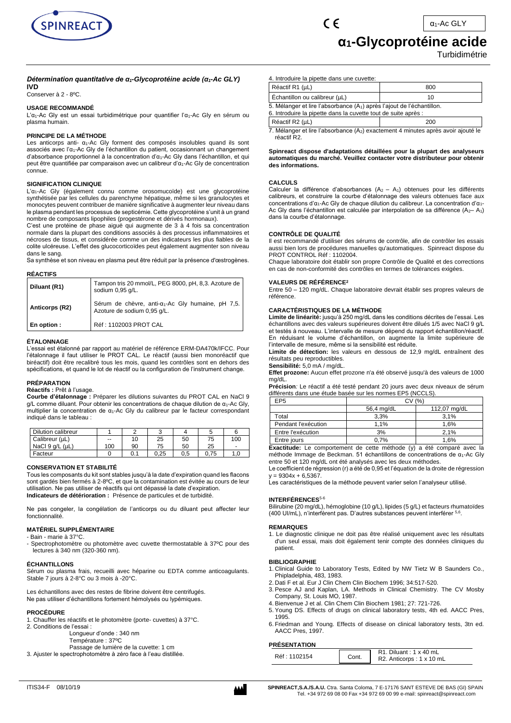

# **α1-Glycoprotéine acide**

# Turbidimétrie

# *Détermination quantitative de α1-Glycoprotéine acide (α1-Ac GLY)* **IVD**

Conserver à 2 - 8ºC.

# **USAGE RECOMMANDÉ**

L'α<sub>1</sub>-Ac Gly est un essai turbidimétrique pour quantifier l'α<sub>1</sub>-Ac Gly en sérum ou plasma humain.

# **PRINCIPE DE LA MÉTHODE**

Les anticorps anti- α1-Ac Gly forment des composés insolubles quand ils sont associés avec l'α1-Ac Gly de l'échantillon du patient, occasionnant un changement d'absorbance proportionnel à la concentration d'α1-Ac Gly dans l'échantillon, et qui peut être quantifiée par comparaison avec un calibreur d'α1-Ac Gly de concentration connue.

# **SIGNIFICATION CLINIQUE**

L'α1-Ac Gly (également connu comme orosomucoïde) est une glycoprotéine synthétisée par les cellules du parenchyme hépatique, même si les granulocytes et monocytes peuvent contribuer de manière significative à augmenter leur niveau dans le plasma pendant les processus de septicémie. Cette glycoprotéine s'unit à un grand nombre de composants lipophiles (progestérone et dérivés hormonaux).

C'est une protéine de phase aiguë qui augmente de 3 à 4 fois sa concentration normale dans la plupart des conditions associés à des processus inflammatoires et nécroses de tissus, et considérée comme un des indicateurs les plus fiables de la colite ulcéreuse. L'effet des glucocorticoïdes peut également augmenter son niveau dans le sang.

Sa synthèse et son niveau en plasma peut être réduit par la présence d'œstrogènes.

#### **RÉACTIFS**

| Diluant (R1)   | Tampon tris 20 mmol/L, PEG 8000, pH, 8,3. Azoture de<br>sodium 0,95 g/L.                     |  |  |
|----------------|----------------------------------------------------------------------------------------------|--|--|
| Anticorps (R2) | Sérum de chèvre, anti-a <sub>1</sub> -Ac Gly humaine, pH 7,5.<br>Azoture de sodium 0,95 q/L. |  |  |
| En option :    | Réf: 1102003 PROT CAL                                                                        |  |  |

# **ÉTALONNAGE**

L'essai est étalonné par rapport au matériel de référence ERM-DA470k/IFCC. Pour l'étalonnage il faut utiliser le PROT CAL. Le réactif (aussi bien monoréactif que biréactif) doit être recalibré tous les mois, quand les contrôles sont en dehors des spécifications, et quand le lot de réactif ou la configuration de l'instrument change.

# **PRÉPARATION**

# **Réactifs :** Prêt à l'usage.

**Courbe d'étalonnage :** Préparer les dilutions suivantes du PROT CAL en NaCl 9 g/L comme diluant. Pour obtenir les concentrations de chaque dilution de α<sub>1</sub>-Ac Glv. multiplier la concentration de  $\alpha_1$ -Ac Gly du calibreur par le facteur correspondant indiqué dans le tableau :

| Dilution calibreur |                          |     | ◠    |     |      |                          |
|--------------------|--------------------------|-----|------|-----|------|--------------------------|
| Calibreur (µL)     | $\overline{\phantom{a}}$ | 10  | 25   | 50  | 75   | 100                      |
| NaCl 9 g/L (uL)    | 100                      | 90  | 75   | 50  | 25   | $\overline{\phantom{a}}$ |
| Facteur            |                          | 0.1 | 0.25 | 0.5 | 0.75 | 1.0                      |

# **CONSERVATION ET STABILITÉ**

Tous les composants du kit sont stables jusqu'à la date d'expiration quand les flacons sont gardés bien fermés à 2-8ºC, et que la contamination est évitée au cours de leur utilisation. Ne pas utiliser de réactifs qui ont dépassé la date d'expiration. **Indicateurs de détérioration :** Présence de particules et de turbidité.

Ne pas congeler, la congélation de l'anticorps ou du diluant peut affecter leur fonctionnalité.

# **MATÉRIEL SUPPLÉMENTAIRE**

- Bain - marie à 37°C.

- Spectrophotomètre ou photomètre avec cuvette thermostatable à 37°C pour des lectures à 340 nm (320-360 nm).

# **ÉCHANTILLONS**

Sérum ou plasma frais, recueilli avec héparine ou EDTA comme anticoagulants. Stable 7 jours à 2-8°C ou 3 mois à -20°C.

Les échantillons avec des restes de fibrine doivent être centrifugés. Ne pas utiliser d'échantillons fortement hémolysés ou lypémiques.

# **PROCÉDURE**

- 1. Chauffer les réactifs et le photomètre (porte- cuvettes) à 37°C.
- 2. Conditions de l'essai :
	- Longueur d'onde : 340 nm
	- Température : 37ºC
- Passage de lumière de la cuvette: 1 cm 3. Ajuster le spectrophotomètre à zéro face à l'eau distillée.

4. Introduire la pipette dans une cuvette:

 $\epsilon$ 

| Réactif R1 (µL)                                                                                                                                      | 800 |  |
|------------------------------------------------------------------------------------------------------------------------------------------------------|-----|--|
| Échantillon ou calibreur (µL)                                                                                                                        | 10  |  |
| 5. Mélanger et lire l'absorbance (A <sub>1</sub> ) après l'ajout de l'échantillon.<br>6. Introduire la pipette dans la cuvette tout de suite après : |     |  |
| Réactif R2 (µL)                                                                                                                                      | 200 |  |

7. Mélanger et lire l'absorbance (A2) exactement 4 minutes après avoir ajouté le réactif R2.

#### **Spinreact dispose d'adaptations détaillées pour la plupart des analyseurs automatiques du marché. Veuillez contacter votre distributeur pour obtenir des informations.**

# **CALCULS**

Calculer la différence d'absorbances  $(A_2 - A_1)$  obtenues pour les différents calibreurs, et construire la courbe d'étalonnage des valeurs obtenues face aux concentrations d'α1-Ac Gly de chaque dilution du calibreur. La concentration d'α1- Ac Gly dans l'échantillon est calculée par interpolation de sa différence  $(A_2 - A_1)$ dans la courbe d'étalonnage.

# **CONTRÔLE DE QUALITÉ**

Il est recommandé d'utiliser des sérums de contrôle, afin de contrôler les essais aussi bien lors de procédures manuelles qu'automatiques. Spinreact dispose du PROT CONTROL Réf : 1102004.

Chaque laboratoire doit établir son propre Contrôle de Qualité et des corrections en cas de non-conformité des contrôles en termes de tolérances exigées.

# **VALEURS DE RÉFÉRENCE<sup>2</sup>**

Entre 50 – 120 mg/dL. Chaque laboratoire devrait établir ses propres valeurs de référence.

#### **CARACTÉRISTIQUES DE LA MÉTHODE**

**Limite de linéarité:** jusqu'à 250 mg/dL dans les conditions décrites de l'essai. Les échantillons avec des valeurs supérieures doivent être dilués 1/5 avec NaCl 9 g/L et testés à nouveau. L'intervalle de mesure dépend du rapport échantillon/réactif. En réduisant le volume d'échantillon, on augmente la limite supérieure de l'intervalle de mesure, même si la sensibilité est réduite.

**Limite de détection:** les valeurs en dessous de 12,9 mg/dL entraînent des résultats peu reproductibles.

**Sensibilité:** 5,0 mA / mg/dL.

**Effet prozone:** Aucun effet prozone n'a été observé jusqu'à des valeurs de 1000 mg/dL.

**Précision***:* Le réactif a été testé pendant 20 jours avec deux niveaux de sérum différents dans une étude basée sur les normes EP5 (NCCLS).

| EP <sub>5</sub>                                                                 | CV(%)      |              |  |  |
|---------------------------------------------------------------------------------|------------|--------------|--|--|
|                                                                                 | 56,4 mg/dL | 112,07 mg/dL |  |  |
| Total                                                                           | 3.3%       | 3.1%         |  |  |
| Pendant l'exécution                                                             | 1.1%       | 1.6%         |  |  |
| Entre l'exécution                                                               | 3%         | 2.1%         |  |  |
| Entre jours                                                                     | 0.7%       | 1.6%         |  |  |
| $\Gamma$ weetitude: La compositomant de catto máthodo (u) o átá composé ques lo |            |              |  |  |

**Exactitude:** Le comportement de cette méthode (y) a été comparé avec la méthode Immage de Beckman. 51 échantillons de concentrations de  $\alpha_1$ -Ac Gly entre 50 et 120 mg/dL ont été analysés avec les deux méthodes.

Le coefficient de régression (r) a été de 0,95 et l'équation de la droite de régression  $v = 9304x + 6.5367$ .

Les caractéristiques de la méthode peuvent varier selon l'analyseur utilisé.

# **INTERFÉRENCES**5-6

Bilirubine (20 mg/dL), hémoglobine (10 g/L), lipides (5 g/L) et facteurs rhumatoïdes (400 UI/mL), n'interfèrent pas. D'autres substances peuvent interférer 5,6 .

# **REMARQUES**

1. Le diagnostic clinique ne doit pas être réalisé uniquement avec les résultats d'un seul essai, mais doit également tenir compte des données cliniques du patient.

# **BIBLIOGRAPHIE**

- 1. Clinical Guide to Laboratory Tests, Edited by NW Tietz W B Saunders Co., Phipladelphia, 483, 1983.
- 2. Dati F et al. Eur J Clin Chem Clin Biochem 1996; 34:517-520.
- 3. Pesce AJ and Kaplan, LA. Methods in Clinical Chemistry. The CV Mosby Company, St. Louis MO, 1987.
- 4. Bienvenue J et al. Clin Chem Clin Biochem 1981; 27: 721-726.
- 5. Young DS. Effects of drugs on clinical laboratory tests, 4th ed. AACC Pres, 1995.
- 6. Friedman and Young. Effects of disease on clinical laboratory tests, 3tn ed. AACC Pres, 1997.

# **PRÉSENTATION**

| .            |       |                                                       |
|--------------|-------|-------------------------------------------------------|
| Réf: 1102154 | Cont. | $R1.$ Diluant : 1 x 40 mL<br>R2. Anticorps: 1 x 10 mL |